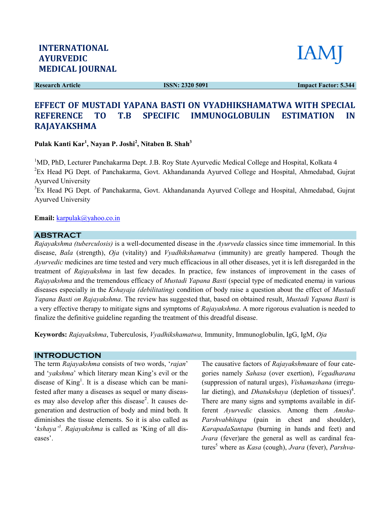Research Article

ISSN: 2320 5091

Impact Factor: 5.344

# EFFECT OF MUSTADI YAPANA BASTI ON VYADHIKSHAMATWA WITH SPECIAL REFERENCE TO T.B SPECIFIC IMMUNOGLOBULIN ESTIMATION IN RAJAYAKSHMA

Pulak Kanti Kar<sup>1</sup>, Nayan P. Joshi<sup>2</sup>, Nitaben B. Shah<sup>3</sup>

<sup>1</sup>MD, PhD, Lecturer Panchakarma Dept. J.B. Roy State Ayurvedic Medical College and Hospital, Kolkata 4 <sup>2</sup>Ex Head PG Dept. of Panchakarma, Govt. Akhandananda Ayurved College and Hospital, Ahmedabad, Gujrat Ayurved University MD, PhD, Lecturer Panchakarma Dept. J.B. Roy State Ayurvedic Medical College and Hospital, Kolkata 4<br>Ex Head PG Dept. of Panchakarma, Govt. Akhandananda Ayurved College and Hospital, Ahmedabad, Gujrat<br>Ayurved University<br>St

<sup>3</sup>Ex Head PG Dept. of Panchakarma, Govt. Akhandananda Ayurved College and Hospital, Ahmedabad, Gujrat Ayurved University

#### Email: karpulak@yahoo.co.in

### ABSTRACT

Rajayakshma (tuberculosis) is a well-documented disease in the Ayurveda classics since time immemorial. In this Rajayakshma (tuberculosis) is a well-documented disease in the Ayurveda classics since time immemorial. In this<br>disease, Bala (strength), Oja (vitality) and Vyadhikshamatwa (immunity) are greatly hampered. Though the Ayurvedic medicines are time tested and very much efficacious in all other diseases, yet it is left disregarded in the treatment of Rajayakshma in last few decades. In practice, few instances of improvement in the cases of Rajayakshma and the tremendous efficacy of Mustadi Yapana Basti (special type of medicated enema) in various diseases especially in the Kshayaja (debilitating) condition of body raise a question about the effect of Mustadi Yapana Basti on Rajayakshma. The review has suggested that, based on obtained result, Mustadi Yapana Basti is a very effective therapy to mitigate signs and symptoms of Rajayakshma. A more rigorous evaluation is needed to finalize the definitive guideline regarding the treatment of this dreadful disease. dicines are time tested and very much efficacious in all other diseases, yet it is left disrega<br>Rajayakshma in last few decades. In practice, few instances of improvement in th<br>and the tremendous efficacy of *Mustadi Yapan* 

Keywords: Rajayakshma, Tuberculosis, *Vyadhikshamatwa*, Immunity, Immunoglobulin, IgG, IgM, Oja

#### INTRODUCTION

The term Rajayakshma consists of two words, 'rajan' and 'yakshma' which literary mean King's evil or the and '*yakshma*' which literary mean King's evil or the disease of King<sup>1</sup>. It is a disease which can be manifested after many a diseases as sequel or many diseases may also develop after this disease<sup>2</sup>. It causes degeneration and destruction of body and mind both. It diminishes the tissue elements. So it is also called as generation and destruction of body and mind both. It<br>diminishes the tissue elements. So it is also called as<br>'kshaya'<sup>3</sup>. Rajayakshma is called as 'King of all diseases'.

The causative factors of Rajayakshmaare of four categories namely Sahasa (over exertion), Vegadharana (suppression of natural urges), Vishamashana (irregular dieting), and *Dhatukshaya* (depletion of tissues)<sup>4</sup>. There are many signs and symptoms available in different Ayurvedic classics. Among them Amsha-Parshvabhitapa (pain in chest and shoulder), KarapadaSantapa (burning in hands and feet) and Parshvabhitapa (pain in chest and shoulder),<br>KarapadaSantapa (burning in hands and feet) and<br>Jvara (fever)are the general as well as cardinal features<sup>5</sup> where as *Kasa* (cough), Jvara (fever), Parshva-

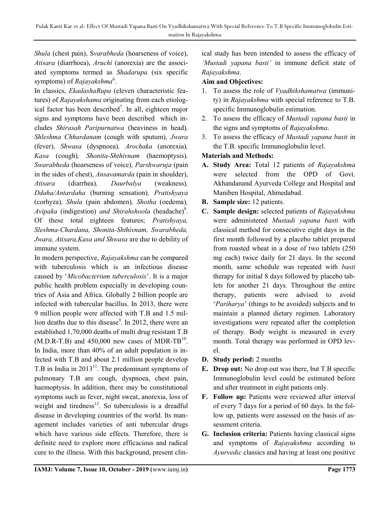Shula (chest pain), Svarabheda (hoarseness of voice), Atisara (diarrhoea), Aruchi (anorexia) are the associated symptoms termed as Shadarupa (six specific symptoms) of *Rajayakshma*<sup>6</sup>.

In classics, EkadashaRupa (eleven characteristic features) of Rajayakshama originating from each etiological factor has been described<sup>7</sup>. In all, eighteen major signs and symptoms have been described which includes Shirasah Paripurnatwa (heaviness in head), Shleshma Chhardanam (cough with sputum), Jwara (fever), Shwasa (dyspnoea), Arochaka (anorexia), Kasa (cough), Shonita-Shthivnam (haemoptysis), Swarabheda (hoarseness of voice), Parshwaruja (pain in the sides of chest), Ansavamarda (pain in shoulder), Atisara (diarrhea), Daurbalya (weakness), Ddaha/Antardaha (burning sensation), Pratishyaya (corhyza), Shula (pain abdomen), Shotha (oedema), Avipaka (indigestion) and Shirahshoola (headache)<sup>8</sup>. Of these total eighteen features; Pratishyaya, Sleshma-Chardana, Shonita-Shthivnam, Swarabheda, Jwara, Atisara,Kasa and Shwasa are due to debility of immune system.

In modern perspective, Rajayakshma can be compared with tuberculosis which is an infectious disease caused by 'Micobacterium tuberculosis'. It is a major public health problem especially in developing countries of Asia and Africa. Globally 2 billion people are infected with tubercular bacillus. In 2013, there were 9 million people were affected with T.B and 1.5 million deaths due to this disease<sup>9</sup>. In 2012, there were an established 1,70,000 deaths of multi drug resistant T.B  $(M.D.R-T.B)$  and 450,000 new cases of MDR-TB<sup>10</sup>. In India, more than 40% of an adult population is infected with T.B and about 2.1 million people develop T.B in India in  $2013<sup>11</sup>$ . The predominant symptoms of pulmonary T.B are cough, dyspnoea, chest pain, haemoptysis. In addition, there may be constitutional symptoms such as fever, night sweat, anorexia, loss of weight and tiredness $^{12}$ . So tuberculosis is a dreadful disease in developing countries of the world. Its management includes varieties of anti tubercular drugs which have various side effects. Therefore, there is definite need to explore more efficacious and radical cure to the illness. With this background, present clinical study has been intended to assess the efficacy of 'Mustadi yapana basti' in immune deficit state of Rajayakshma.

## Aim and Objectives:

- 1. To assess the role of Vyadhikshamatwa (immunity) in Rajayakshma with special reference to T.B. specific Immunoglobulin estimation.
- 2. To assess the efficacy of Mustadi yapana basti in the signs and symptoms of Rajayakshma.
- 3. To assess the efficacy of Mustadi yapana basti in the T.B. specific Immunoglobulin level.

## Materials and Methods:

- A. Study Area: Total 12 patients of Rajayakshma were selected from the OPD of Govt. Akhandanand Ayurveda College and Hospital and Maniben Hospital, Ahmedabad.
- B. Sample size: 12 patients.
- C. Sample design: selected patients of Rajayakshma were administered Mustadi yapana basti with classical method for consecutive eight days in the first month followed by a placebo tablet prepared from roasted wheat in a dose of two tablets (250 mg each) twice daily for 21 days. In the second month, same schedule was repeated with basti therapy for initial 8 days followed by placebo tablets for another 21 days. Throughout the entire therapy, patients were advised to avoid 'Pariharya' (things to be avoided) subjects and to maintain a planned dietary regimen. Laboratory investigations were repeated after the completion of therapy. Body weight is measured in every month. Total therapy was performed in OPD level.
- D. Study period: 2 months
- E. Drop out: No drop out was there, but T.B specific Immunoglobulin level could be estimated before and after treatment in eight patients only.
- F. Follow up: Patients were reviewed after interval of every 7 days for a period of 60 days. In the follow up, patients were assessed on the basis of assessment criteria.
- G. Inclusion criteria: Patients having classical signs and symptoms of Rajayakshma according to Ayurvedic classics and having at least one positive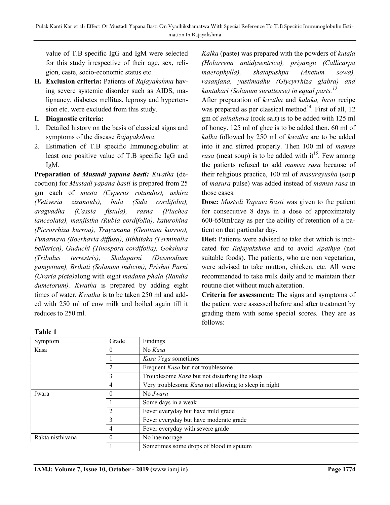value of T.B specific IgG and IgM were selected for this study irrespective of their age, sex, religion, caste, socio-economic status etc.

H. Exclusion criteria: Patients of Rajayakshma having severe systemic disorder such as AIDS, malignancy, diabetes mellitus, leprosy and hypertension etc. were excluded from this study.

## I. Diagnostic criteria:

- 1. Detailed history on the basis of classical signs and symptoms of the disease Rajayakshma.
- 2. Estimation of T.B specific Immunoglobulin: at least one positive value of T.B specific IgG and IgM.

Preparation of Mustadi yapana basti: Kwatha (decoction) for Mustadi yapana basti is prepared from 25 gm each of musta (Cyperus rotundus), ushira (Vetiveria zizanoids), bala (Sida cordifolia), aragvadha (Cassia fistula), rasna (Pluchea lanceolata), manjistha (Rubia cordifolia), katurohina (Picrorrhiza kurroa), Trayamana (Gentiana kurroo), Punarnava (Boerhavia diffusa), Bibhitaka (Terminalia bellerica), Guduchi (Tinospora cordifolia), Gokshura (Tribulus terrestris), Shalaparni (Desmodium gangetium), Brihati (Solanum indicim), Prishni Parni (Uraria picta)along with eight madana phala (Randia dumetorum). Kwatha is prepared by adding eight times of water. Kwatha is to be taken 250 ml and added with 250 ml of cow milk and boiled again till it reduces to 250 ml.

## Table 1

Kalka (paste) was prepared with the powders of kutaja (Holarrena antidysentrica), priyangu (Callicarpa maerophylla), shatapushpa (Anetum sowa), rasanjana, yastimadhu (Glycyrrhiza glabra) and kantakari (Solanum surattense) in equal parts. $13$ 

After preparation of kwatha and kalaka, basti recipe was prepared as per classical method<sup>14</sup>. First of all, 12 gm of saindhava (rock salt) is to be added with 125 ml of honey. 125 ml of ghee is to be added then. 60 ml of kalka followed by 250 ml of kwatha are to be added into it and stirred properly. Then 100 ml of mamsa *rasa* (meat soup) is to be added with it<sup>15</sup>. Few among the patients refused to add mamsa rasa because of their religious practice, 100 ml of masurayusha (soup of masura pulse) was added instead of mamsa rasa in those cases.

Dose: Mustsdi Yapana Basti was given to the patient for consecutive 8 days in a dose of approximately 600-650ml/day as per the ability of retention of a patient on that particular day.

Diet: Patients were advised to take diet which is indicated for Rajayakshma and to avoid Apathya (not suitable foods). The patients, who are non vegetarian, were advised to take mutton, chicken, etc. All were recommended to take milk daily and to maintain their routine diet without much alteration.

Criteria for assessment: The signs and symptoms of the patient were assessed before and after treatment by grading them with some special scores. They are as follows:

| Symptom          | Grade          | Findings                                             |
|------------------|----------------|------------------------------------------------------|
| Kasa             | $\theta$       | No Kasa                                              |
|                  |                | Kasa Vega sometimes                                  |
|                  |                | Frequent Kasa but not troublesome                    |
|                  | 3              | Troublesome Kasa but not disturbing the sleep        |
|                  | 4              | Very troublesome Kasa not allowing to sleep in night |
| Jwara            | $\theta$       | No <i>Jwara</i>                                      |
|                  |                | Some days in a weak                                  |
|                  | $\overline{2}$ | Fever everyday but have mild grade                   |
|                  | 3              | Fever everyday but have moderate grade               |
|                  | 4              | Fever everyday with severe grade                     |
| Rakta nisthivana | $\Omega$       | No haemorrage                                        |
|                  |                | Sometimes some drops of blood in sputum              |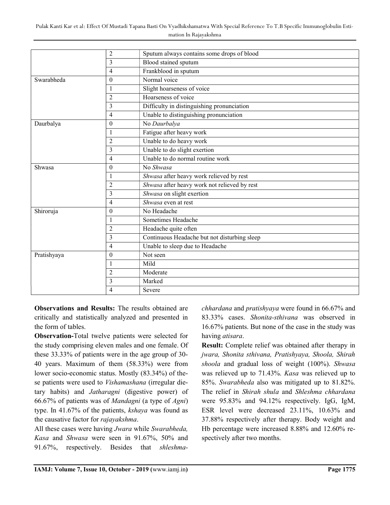Pulak Kanti Kar et al: Effect Of Mustadi Yapana Basti On Vyadhikshamatwa With Special Reference To T.B Specific Immunoglobulin Estimation In Rajayakshma

|             | $\overline{2}$          | Sputum always contains some drops of blood   |
|-------------|-------------------------|----------------------------------------------|
|             | 3                       | Blood stained sputum                         |
|             | $\overline{4}$          | Frankblood in sputum                         |
| Swarabheda  | $\theta$                | Normal voice                                 |
|             | $\mathbf{1}$            | Slight hoarseness of voice                   |
|             | $\overline{2}$          | Hoarseness of voice                          |
|             | 3                       | Difficulty in distinguishing pronunciation   |
|             | $\overline{4}$          | Unable to distinguishing pronunciation       |
| Daurbalya   | $\theta$                | No Daurbalya                                 |
|             | $\mathbf{1}$            | Fatigue after heavy work                     |
|             | $\overline{2}$          | Unable to do heavy work                      |
|             | 3                       | Unable to do slight exertion                 |
|             | $\overline{4}$          | Unable to do normal routine work             |
| Shwasa      | $\theta$                | No Shwasa                                    |
|             | $\mathbf{1}$            | Shwasa after heavy work relieved by rest     |
|             | $\overline{2}$          | Shwasa after heavy work not relieved by rest |
|             | 3                       | Shwasa on slight exertion                    |
|             | $\overline{4}$          | Shwasa even at rest                          |
| Shiroruja   | $\theta$                | No Headache                                  |
|             | $\mathbf{1}$            | Sometimes Headache                           |
|             | $\overline{2}$          | Headache quite often                         |
|             | $\overline{\mathbf{3}}$ | Continuous Headache but not disturbing sleep |
|             | $\overline{4}$          | Unable to sleep due to Headache              |
| Pratishyaya | $\theta$                | Not seen                                     |
|             | $\mathbf{1}$            | Mild                                         |
|             | $\overline{2}$          | Moderate                                     |
|             | 3                       | Marked                                       |
|             | $\overline{4}$          | Severe                                       |

Observations and Results: The results obtained are critically and statistically analyzed and presented in the form of tables.

Observation-Total twelve patients were selected for the study comprising eleven males and one female. Of these 33.33% of patients were in the age group of 30- 40 years. Maximum of them (58.33%) were from lower socio-economic status. Mostly (83.34%) of these patients were used to Vishamashana (irregular dietary habits) and Jatharagni (digestive power) of 66.67% of patients was of Mandagni (a type of Agni) type. In 41.67% of the patients, kshaya was found as the causative factor for rajayakshma.

All these cases were having Jwara while Swarabheda, Kasa and Shwasa were seen in 91.67%, 50% and 91.67%, respectively. Besides that shleshmachhardana and pratishyaya were found in 66.67% and 83.33% cases. Shonita-sthivana was observed in 16.67% patients. But none of the case in the study was having atisara.

Result: Complete relief was obtained after therapy in jwara, Shonita sthivana, Pratishyaya, Shoola, Shirah shoola and gradual loss of weight (100%). Shwasa was relieved up to 71.43%. Kasa was relieved up to 85%. Swarabheda also was mitigated up to 81.82%. The relief in Shirah shula and Shleshma chhardana were 95.83% and 94.12% respectively. IgG, IgM, ESR level were decreased 23.11%, 10.63% and 37.88% respectively after therapy. Body weight and Hb percentage were increased 8.88% and 12.60% respectively after two months.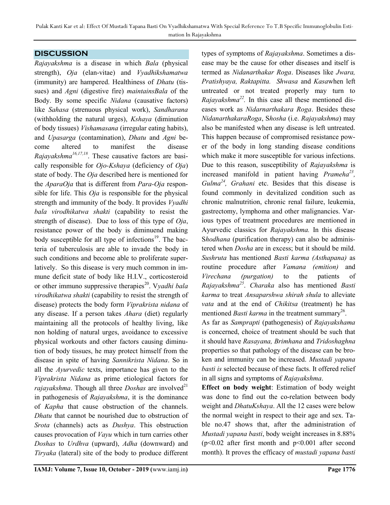## **DISCUSSION**

Rajayakshma is a disease in which Bala (physical strength), Oja (elan-vitae) and Vyadhikshamatwa (immunity) are hampered. Healthiness of *Dhatu* (tissues) and Agni (digestive fire) maintainsBala of the Body. By some specific Nidana (causative factors) like Sahasa (strenuous physical work), Sandharana (withholding the natural urges), Kshaya (diminution of body tissues) Vishamasana (irregular eating habits), and Upasarga (contamination), Dhatu and Agni become altered to manifest the disease Rajayakshma<sup>16,17,18</sup>. These causative factors are basically responsible for  $O$ *jo-Kshaya* (deficiency of  $O$ *ja*) state of body. The Oja described here is mentioned for the AparaOja that is different from Para-Oja responsible for life. This Oja is responsible for the physical strength and immunity of the body. It provides Vyadhi bala virodhikatwa shakti (capability to resist the strength of disease). Due to loss of this type of *Oja*, resistance power of the body is diminuend making body susceptible for all type of infections<sup>19</sup>. The bacteria of tuberculosis are able to invade the body in such conditions and become able to proliferate superlatively. So this disease is very much common in immune deficit state of body like H.I.V., corticosteroid or other immuno suppressive therapies<sup>20</sup>. Vyadhi bala virodhikatwa shakti (capability to resist the strength of disease) protects the body form Viprakrista nidana of any disease. If a person takes Ahara (diet) regularly maintaining all the protocols of healthy living, like non holding of natural urges, avoidance to excessive physical workouts and other factors causing diminution of body tissues, he may protect himself from the disease in spite of having Sannikrista Nidana. So in all the Ayurvedic texts, importance has given to the Viprakrista Nidana as prime etiological factors for *rajayakshma*. Though all three *Doshas* are involved<sup>21</sup> in pathogenesis of Rajayakshma, it is the dominance of Kapha that cause obstruction of the channels. Dhatu that cannot be nourished due to obstruction of Srota (channels) acts as Dushya. This obstruction causes provocation of Vayu which in turn carries other Doshas to Urdhva (upward), Adha (downward) and Tiryaka (lateral) site of the body to produce different types of symptoms of Rajayakshma. Sometimes a disease may be the cause for other diseases and itself is termed as Nidanarthakar Roga. Diseases like Jwara, Pratishyaya, Raktapitta. Shwasa and Kasawhen left untreated or not treated properly may turn to *Rajayakshma*<sup>22</sup>. In this case all these mentioned diseases work as Nidarnarthakara Roga. Besides these NidanarthakaraRoga, Shosha (i.e. Rajayakshma) may also be manifested when any disease is left untreated. This happen because of compromised resistance power of the body in long standing disease conditions which make it more susceptible for various infections. Due to this reason, susceptibility of Rajayakshma is increased manifold in patient having  $P$ rameha<sup>23</sup>,  $Gulma<sup>24</sup>$ , Grahani etc. Besides that this disease is found commonly in devitalized condition such as chronic malnutrition, chronic renal failure, leukemia, gastrectomy, lymphoma and other malignancies. Various types of treatment procedures are mentioned in Ayurvedic classics for Rajayakshma. In this disease Shodhana (purification therapy) can also be administered when Dosha are in excess; but it should be mild. Sushruta has mentioned Basti karma (Asthapana) as routine procedure after Vamana (emition) and Virechana (purgation) to the patients of Rajayakshma<sup>25</sup>. Charaka also has mentioned Basti karma to treat Ansaparshwa shirah shula to alleviate vata and at the end of Chikitsa (treatment) he has mentioned *Basti karma* in the treatment summary<sup>26</sup>.

As far as Samprapti (pathogenesis) of Rajayakshama is concerned, choice of treatment should be such that it should have Rasayana, Brimhana and Tridoshaghna properties so that pathology of the disease can be broken and immunity can be increased. Mustadi yapana basti is selected because of these facts. It offered relief in all signs and symptoms of Rajayakshma.

Effect on body weight: Estimation of body weight was done to find out the co-relation between body weight and DhatuKshaya. All the 12 cases were below the normal weight in respect to their age and sex. Table no.47 shows that, after the administration of Mustadi yapana basti, body weight increases in 8.88% ( $p$ <0.02 after first month and  $p$ <0.001 after second month). It proves the efficacy of mustadi yapana basti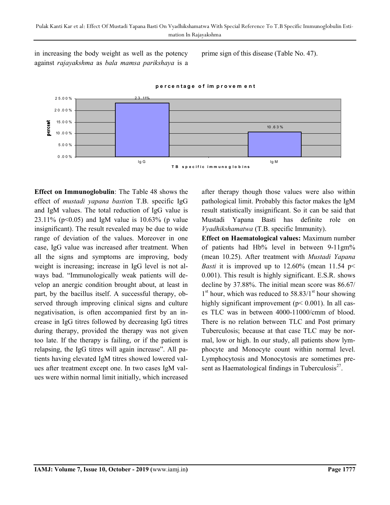in increasing the body weight as well as the potency against rajayakshma as bala mamsa parikshaya is a prime sign of this disease (Table No. 47).



#### percentage of im provem ent

Effect on Immunoglobulin: The Table 48 shows the effect of mustadi yapana bastion T.B. specific IgG and IgM values. The total reduction of IgG value is 23.11% ( $p<0.05$ ) and IgM value is 10.63% (p value insignificant). The result revealed may be due to wide range of deviation of the values. Moreover in one case, IgG value was increased after treatment. When all the signs and symptoms are improving, body weight is increasing; increase in IgG level is not always bad. "Immunologically weak patients will develop an anergic condition brought about, at least in part, by the bacillus itself. A successful therapy, observed through improving clinical signs and culture negativisation, is often accompanied first by an increase in IgG titres followed by decreasing IgG titres during therapy, provided the therapy was not given too late. If the therapy is failing, or if the patient is relapsing, the IgG titres will again increase". All patients having elevated IgM titres showed lowered values after treatment except one. In two cases IgM values were within normal limit initially, which increased

after therapy though those values were also within pathological limit. Probably this factor makes the IgM result statistically insignificant. So it can be said that Mustadi Yapana Basti has definite role on Vyadhikshamatwa (T.B. specific Immunity).

Effect on Haematological values: Maximum number of patients had Hb% level in between 9-11gm% (mean 10.25). After treatment with Mustadi Yapana *Basti* it is improved up to 12.60% (mean 11.54  $p$ 0.001). This result is highly significant. E.S.R. shows decline by 37.88%. The initial mean score was 86.67/ 1<sup>st</sup> hour, which was reduced to 58.83/1<sup>st</sup> hour showing highly significant improvement ( $p$ < 0.001). In all cases TLC was in between 4000-11000/cmm of blood. There is no relation between TLC and Post primary Tuberculosis; because at that case TLC may be normal, low or high. In our study, all patients show lymphocyte and Monocyte count within normal level. Lymphocytosis and Monocytosis are sometimes present as Haematological findings in Tuberculosis $^{27}$ .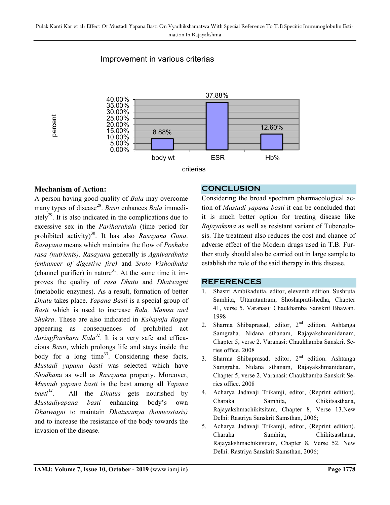

# Improvement in various criterias

## Mechanism of Action:

A person having good quality of Bala may overcome many types of disease<sup>28</sup>. Basti enhances Bala immediately<sup>29</sup>. It is also indicated in the complications due to excessive sex in the Pariharakala (time period for prohibited activity)<sup>30</sup>. It has also Rasayana Guna. Rasayana means which maintains the flow of Poshaka rasa (nutrients). Rasayana generally is Agnivardhaka (enhancer of digestive fire) and Sroto Vishodhaka (channel purifier) in nature<sup>31</sup>. At the same time it improves the quality of rasa Dhatu and Dhatwagni (metabolic enzymes). As a result, formation of better Dhatu takes place. Yapana Basti is a special group of Basti which is used to increase Bala, Mamsa and Shukra. These are also indicated in Kshayaja Rogas appearing as consequences of prohibited act during Parihara Kala<sup>32</sup>. It is a very safe and efficacious Basti, which prolongs life and stays inside the body for a long time<sup>33</sup>. Considering these facts, Mustadi yapana basti was selected which have Shodhana as well as Rasayana property. Moreover, Mustadi yapana basti is the best among all Yapana  $\hat{b}$ asti<sup>34</sup>. All the *Dhatus* gets nourished by Mustadiyapana basti enhancing body's own Dhatwagni to maintain Dhatusamya (homeostasis) and to increase the resistance of the body towards the invasion of the disease.

## **CONCLUSION**

Considering the broad spectrum pharmacological action of Mustadi yapana basti it can be concluded that it is much better option for treating disease like Rajayaksma as well as resistant variant of Tuberculosis. The treatment also reduces the cost and chance of adverse effect of the Modern drugs used in T.B. Further study should also be carried out in large sample to establish the role of the said therapy in this disease.

#### REFERENCES

- 1. Shastri Ambikadutta, editor, eleventh edition. Sushruta Samhita, Uttaratantram, Shoshapratishedha, Chapter 41, verse 5. Varanasi: Chaukhamba Sanskrit Bhawan. 1998
- 2. Sharma Shibaprasad, editor,  $2<sup>nd</sup>$  edition. Ashtanga Samgraha. Nidana sthanam, Rajayakshmanidanam, Chapter 5, verse 2. Varanasi: Chaukhamba Sanskrit Series office. 2008
- 3. Sharma Shibaprasad, editor, 2<sup>nd</sup> edition. Ashtanga Samgraha. Nidana sthanam, Rajayakshmanidanam, Chapter 5, verse 2. Varanasi: Chaukhamba Sanskrit Series office. 2008
- 4. Acharya Jadavaji Trikamji, editor, (Reprint edition). Charaka Samhita, Chikitsasthana, Rajayakshmachikitsitam, Chapter 8, Verse 13.New Delhi: Rastriya Sanskrit Samsthan, 2006;
- 5. Acharya Jadavaji Trikamji, editor, (Reprint edition). Charaka Samhita, Chikitsasthana, Rajayakshmachikitsitam, Chapter 8, Verse 52. New Delhi: Rastriya Sanskrit Samsthan, 2006;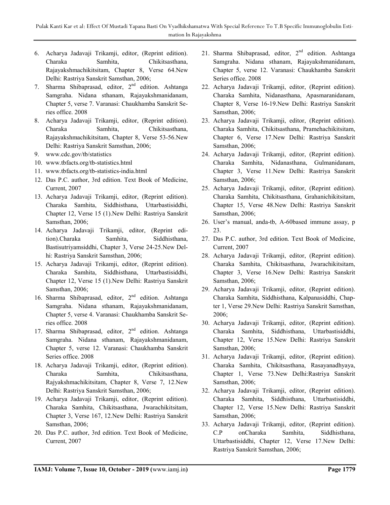- 6. Acharya Jadavaji Trikamji, editor, (Reprint edition). Charaka Samhita, Chikitsasthana, Rajayakshmachikitsitam, Chapter 8, Verse 64.New Delhi: Rastriya Sanskrit Samsthan, 2006;
- 7. Sharma Shibaprasad, editor,  $2<sup>nd</sup>$  edition. Ashtanga Samgraha. Nidana sthanam, Rajayakshmanidanam, Chapter 5, verse 7. Varanasi: Chaukhamba Sanskrit Series office. 2008
- 8. Acharya Jadavaji Trikamji, editor, (Reprint edition). Charaka Samhita, Chikitsasthana, Rajayakshmachikitsitam, Chapter 8, Verse 53-56.New Delhi: Rastriya Sanskrit Samsthan, 2006;
- 9. www.cdc.gov/tb/statistics
- 10. www.tbfacts.org/tb-statistics.html
- 11. www.tbfacts.org/tb-statistics-india.html
- 12. Das P.C. author, 3rd edition. Text Book of Medicine, Current, 2007
- 13. Acharya Jadavaji Trikamji, editor, (Reprint edition). Charaka Samhita, Siddhisthana, Uttarbastisiddhi, Chapter 12, Verse 15 (1).New Delhi: Rastriya Sanskrit Samsthan, 2006;
- 14. Acharya Jadavaji Trikamji, editor, (Reprint edition).Charaka Samhita, Siddhisthana, Bastisutriyamsiddhi, Chapter 3, Verse 24-25.New Delhi: Rastriya Sanskrit Samsthan, 2006;
- 15. Acharya Jadavaji Trikamji, editor, (Reprint edition). Charaka Samhita, Siddhisthana, Uttarbastisiddhi, Chapter 12, Verse 15 (1).New Delhi: Rastriya Sanskrit Samsthan, 2006;
- 16. Sharma Shibaprasad, editor,  $2<sup>nd</sup>$  edition. Ashtanga Samgraha. Nidana sthanam, Rajayakshmanidanam, Chapter 5, verse 4. Varanasi: Chaukhamba Sanskrit Series office. 2008
- 17. Sharma Shibaprasad, editor, 2<sup>nd</sup> edition. Ashtanga Samgraha. Nidana sthanam, Rajayakshmanidanam, Chapter 5, verse 12. Varanasi: Chaukhamba Sanskrit Series office. 2008
- 18. Acharya Jadavaji Trikamji, editor, (Reprint edition). Charaka Samhita, Chikitsasthana, Rajyakshmachikitsitam, Chapter 8, Verse 7, 12.New Delhi: Rastriya Sanskrit Samsthan, 2006;
- 19. Acharya Jadavaji Trikamji, editor, (Reprint edition). Charaka Samhita, Chikitsasthana, Jwarachikitsitam, Chapter 3, Verse 167, 12.New Delhi: Rastriya Sanskrit Samsthan, 2006;
- 20. Das P.C. author, 3rd edition. Text Book of Medicine, Current, 2007
- 21. Sharma Shibaprasad, editor, 2nd edition. Ashtanga Samgraha. Nidana sthanam, Rajayakshmanidanam, Chapter 5, verse 12. Varanasi: Chaukhamba Sanskrit Series office. 2008
- 22. Acharya Jadavaji Trikamji, editor, (Reprint edition). Charaka Samhita, Nidanasthana, Apasmaranidanam, Chapter 8, Verse 16-19.New Delhi: Rastriya Sanskrit Samsthan, 2006;
- 23. Acharya Jadavaji Trikamji, editor, (Reprint edition). Charaka Samhita, Chikitsasthana, Pramehachikitsitam, Chapter 6, Verse 17.New Delhi: Rastriya Sanskrit Samsthan, 2006;
- 24. Acharya Jadavaji Trikamji, editor, (Reprint edition). Charaka Samhita, Nidanasthana, Gulmanidanam, Chapter 3, Verse 11.New Delhi: Rastriya Sanskrit Samsthan, 2006;
- 25. Acharya Jadavaji Trikamji, editor, (Reprint edition). Charaka Samhita, Chikitsasthana, Grahanichikitsitam, Chapter 15, Verse 48.New Delhi: Rastriya Sanskrit Samsthan, 2006;
- 26. User's manual, anda-tb, A-60based immune assay, p 23.
- 27. Das P.C. author, 3rd edition. Text Book of Medicine, Current, 2007
- 28. Acharya Jadavaji Trikamji, editor, (Reprint edition). Charaka Samhita, Chikitsasthana, Jwarachikitsitam, Chapter 3, Verse 16.New Delhi: Rastriya Sanskrit Samsthan, 2006;
- 29. Acharya Jadavaji Trikamji, editor, (Reprint edition). Charaka Samhita, Siddhisthana, Kalpanasiddhi, Chapter 1, Verse 29.New Delhi: Rastriya Sanskrit Samsthan, 2006;
- 30. Acharya Jadavaji Trikamji, editor, (Reprint edition). Charaka Samhita, Siddhisthana, Uttarbastisiddhi, Chapter 12, Verse 15.New Delhi: Rastriya Sanskrit Samsthan, 2006;
- 31. Acharya Jadavaji Trikamji, editor, (Reprint edition). Charaka Samhita, Chikitsasthana, Rasayanadhyaya, Chapter 1, Verse 73.New Delhi:Rastriya Sanskrit Samsthan, 2006;
- 32. Acharya Jadavaji Trikamji, editor, (Reprint edition). Charaka Samhita, Siddhisthana, Uttarbastisiddhi, Chapter 12, Verse 15.New Delhi: Rastriya Sanskrit Samsthan, 2006;
- 33. Acharya Jadavaji Trikamji, editor, (Reprint edition). C.P onCharaka Samhita, Siddhisthana, Uttarbastisiddhi, Chapter 12, Verse 17.New Delhi: Rastriya Sanskrit Samsthan, 2006;